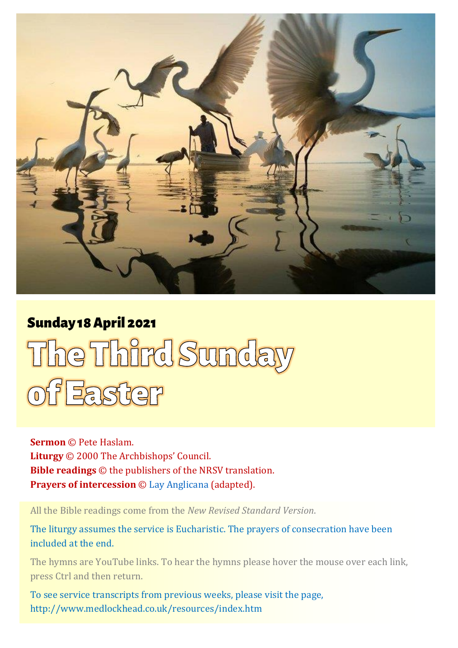

# Sunday 18 April 2021 The Third Sunday of Easter

**Sermon** © Pete Haslam. **Liturgy** © 2000 The Archbishops' Council. **Bible readings** © the publishers of the NRSV translation. **Prayers of intercession** © [Lay Anglicana](http://www.layanglicana.org/blog/2013/04/10/intercessions-for-third-sunday-of-easter-14-april-2013/) (adapted).

All the Bible readings come from the *New Revised Standard Version*.

The liturgy assumes the service is Eucharistic. The prayers of consecration have been included at the end.

The hymns are YouTube links. To hear the hymns please hover the mouse over each link, press Ctrl and then return.

To see service transcripts from previous weeks, please visit the page, <http://www.medlockhead.co.uk/resources/index.htm>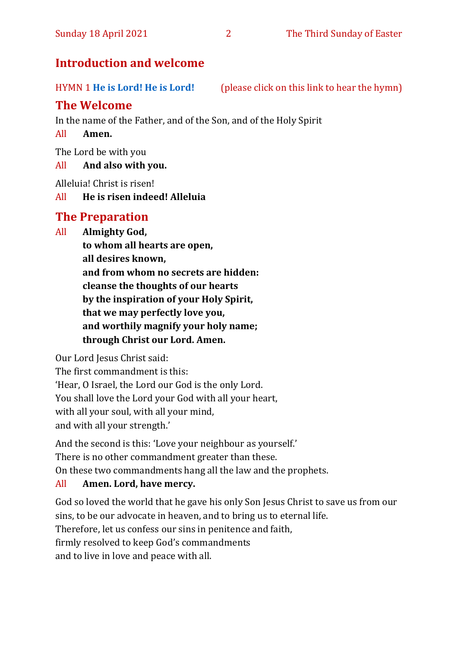#### **Introduction and welcome**

HYMN 1 **[He is Lord! He is Lord!](https://www.youtube.com/watch?v=bu5LSVKdGCs&list=PLB5fFsrZhPfC6IlYOH9CdHrALBozomXGr)** (please click on this link to hear the hymn)

#### **The Welcome**

In the name of the Father, and of the Son, and of the Holy Spirit

#### All **Amen.**

The Lord be with you

#### All **And also with you.**

Alleluia! Christ is risen!

All **He is risen indeed! Alleluia**

#### **The Preparation**

All **Almighty God,**

**to whom all hearts are open, all desires known, and from whom no secrets are hidden: cleanse the thoughts of our hearts by the inspiration of your Holy Spirit, that we may perfectly love you, and worthily magnify your holy name; through Christ our Lord. Amen.**

Our Lord Jesus Christ said:

The first commandment is this: 'Hear, O Israel, the Lord our God is the only Lord. You shall love the Lord your God with all your heart, with all your soul, with all your mind, and with all your strength.'

And the second is this: 'Love your neighbour as yourself.' There is no other commandment greater than these. On these two commandments hang all the law and the prophets.

#### All **Amen. Lord, have mercy.**

God so loved the world that he gave his only Son Jesus Christ to save us from our sins, to be our advocate in heaven, and to bring us to eternal life. Therefore, let us confess our sins in penitence and faith, firmly resolved to keep God's commandments and to live in love and peace with all.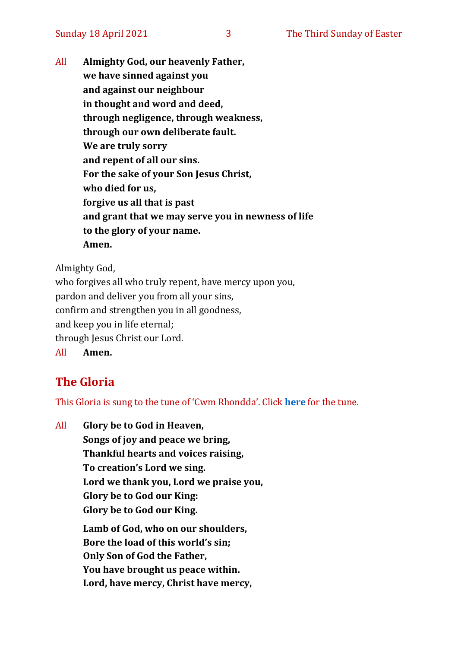All **Almighty God, our heavenly Father, we have sinned against you and against our neighbour in thought and word and deed, through negligence, through weakness, through our own deliberate fault. We are truly sorry and repent of all our sins. For the sake of your Son Jesus Christ, who died for us, forgive us all that is past and grant that we may serve you in newness of life to the glory of your name. Amen.**

Almighty God,

who forgives all who truly repent, have mercy upon you, pardon and deliver you from all your sins, confirm and strengthen you in all goodness, and keep you in life eternal; through Jesus Christ our Lord. All **Amen.**

#### **The Gloria**

This Gloria is sung to the tune of 'Cwm Rhondda'. Click **[here](about:blank)** for the tune.

All **Glory be to God in Heaven, Songs of joy and peace we bring, Thankful hearts and voices raising, To creation's Lord we sing. Lord we thank you, Lord we praise you, Glory be to God our King: Glory be to God our King. Lamb of God, who on our shoulders, Bore the load of this world's sin; Only Son of God the Father, You have brought us peace within. Lord, have mercy, Christ have mercy,**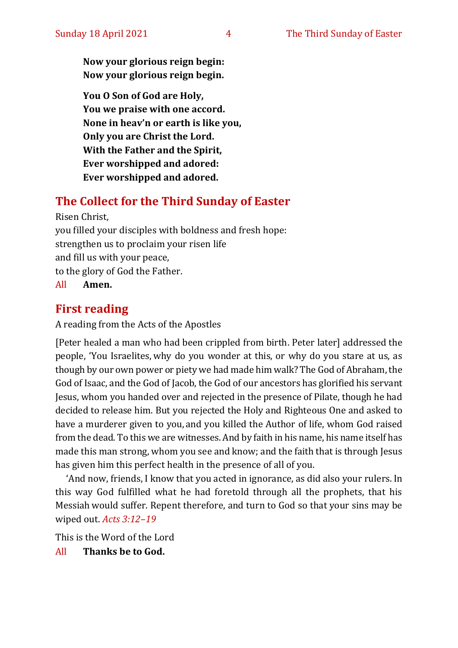**Now your glorious reign begin: Now your glorious reign begin.**

**You O Son of God are Holy, You we praise with one accord. None in heav'n or earth is like you, Only you are Christ the Lord. With the Father and the Spirit, Ever worshipped and adored: Ever worshipped and adored.**

#### **The Collect for the Third Sunday of Easter**

Risen Christ, you filled your disciples with boldness and fresh hope: strengthen us to proclaim your risen life and fill us with your peace, to the glory of God the Father. All **Amen.**

#### **First reading**

A reading from the Acts of the Apostles

[Peter healed a man who had been crippled from birth. Peter later] addressed the people, 'You Israelites, why do you wonder at this, or why do you stare at us, as though by our own power or piety we had made him walk?The God of Abraham, the God of Isaac, and the God of Jacob, the God of our ancestors has glorified his servant Jesus, whom you handed over and rejected in the presence of Pilate, though he had decided to release him. But you rejected the Holy and Righteous One and asked to have a murderer given to you, and you killed the Author of life, whom God raised from the dead. To this we are witnesses. And by faith in his name, his name itself has made this man strong, whom you see and know; and the faith that is through Jesus has given him this perfect health in the presence of all of you.

'And now, friends, I know that you acted in ignorance, as did also your rulers.In this way God fulfilled what he had foretold through all the prophets, that his Messiah would suffer. Repent therefore, and turn to God so that your sins may be wiped out. *Acts 3:12–19*

This is the Word of the Lord All **Thanks be to God.**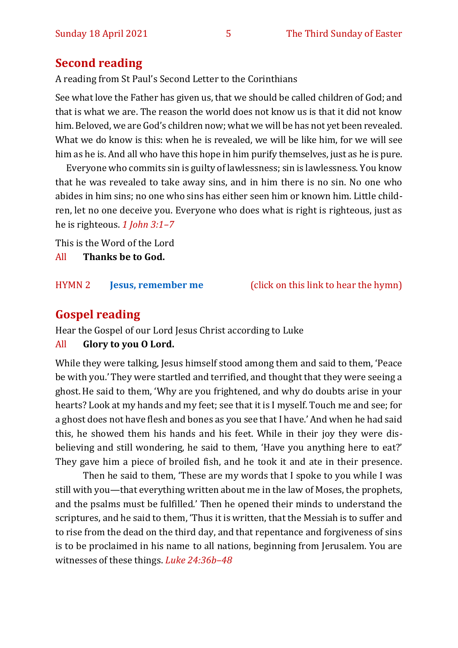#### **Second reading**

A reading from St Paul's Second Letter to the Corinthians

See what love the Father has given us, that we should be called children of God; and that is what we are. The reason the world does not know us is that it did not know him. Beloved, we are God's children now; what we will be has not yet been revealed. What we do know is this: when he is revealed, we will be like him, for we will see him as he is. And all who have this hope in him purify themselves, just as he is pure.

Everyone who commits sin is guilty of lawlessness; sin is lawlessness. You know that he was revealed to take away sins, and in him there is no sin. No one who abides in him sins; no one who sins has either seen him or known him. Little children, let no one deceive you. Everyone who does what is right is righteous, just as he is righteous. *1 John 3:1–7* 

This is the Word of the Lord

All **Thanks be to God.**

HYMN 2 **[Jesus, remember me](https://www.youtube.com/watch?v=RGB2E0NzO2A)** (click on this link to hear the hymn)

#### **Gospel reading**

Hear the Gospel of our Lord Jesus Christ according to Luke

#### All **Glory to you O Lord.**

While they were talking, Jesus himself stood among them and said to them, 'Peace be with you.'They were startled and terrified, and thought that they were seeing a ghost.He said to them, 'Why are you frightened, and why do doubts arise in your hearts? Look at my hands and my feet; see that it is I myself. Touch me and see; for a ghost does not have flesh and bones as you see that I have.' And when he had said this, he showed them his hands and his feet. While in their joy they were disbelieving and still wondering, he said to them, 'Have you anything here to eat?' They gave him a piece of broiled fish, and he took it and ate in their presence.

Then he said to them, 'These are my words that I spoke to you while I was still with you—that everything written about me in the law of Moses, the prophets, and the psalms must be fulfilled.' Then he opened their minds to understand the scriptures, and he said to them, 'Thus it is written, that the Messiah is to suffer and to rise from the dead on the third day, and that repentance and forgiveness of sins is to be proclaimed in his name to all nations, beginning from Jerusalem. You are witnesses of these things. *Luke 24:36b–48*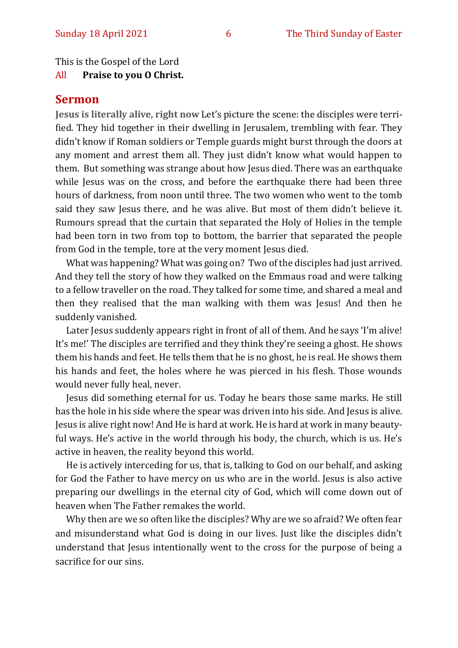This is the Gospel of the Lord

All **Praise to you O Christ.** 

#### **Sermon**

**Jesus is literally alive, right now** Let's picture the scene: the disciples were terrified. They hid together in their dwelling in Jerusalem, trembling with fear. They didn't know if Roman soldiers or Temple guards might burst through the doors at any moment and arrest them all. They just didn't know what would happen to them. But something was strange about how Jesus died. There was an earthquake while Jesus was on the cross, and before the earthquake there had been three hours of darkness, from noon until three. The two women who went to the tomb said they saw Jesus there, and he was alive. But most of them didn't believe it. Rumours spread that the curtain that separated the Holy of Holies in the temple had been torn in two from top to bottom, the barrier that separated the people from God in the temple, tore at the very moment Jesus died.

What was happening? What was going on? Two of the disciples had just arrived. And they tell the story of how they walked on the Emmaus road and were talking to a fellow traveller on the road. They talked for some time, and shared a meal and then they realised that the man walking with them was Jesus! And then he suddenly vanished.

Later Jesus suddenly appears right in front of all of them. And he says 'I'm alive! It's me!' The disciples are terrified and they think they're seeing a ghost. He shows them his hands and feet. He tells them that he is no ghost, he is real. He shows them his hands and feet, the holes where he was pierced in his flesh. Those wounds would never fully heal, never.

Jesus did something eternal for us. Today he bears those same marks. He still has the hole in his side where the spear was driven into his side. And Jesus is alive. Jesus is alive right now! And He is hard at work. He is hard at work in many beautyful ways. He's active in the world through his body, the church, which is us. He's active in heaven, the reality beyond this world.

He is actively interceding for us, that is, talking to God on our behalf, and asking for God the Father to have mercy on us who are in the world. Jesus is also active preparing our dwellings in the eternal city of God, which will come down out of heaven when The Father remakes the world.

Why then are we so often like the disciples? Why are we so afraid? We often fear and misunderstand what God is doing in our lives. Just like the disciples didn't understand that Jesus intentionally went to the cross for the purpose of being a sacrifice for our sins.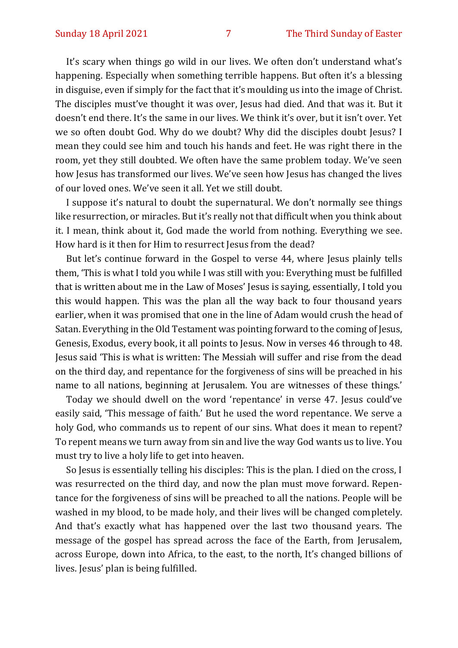It's scary when things go wild in our lives. We often don't understand what's happening. Especially when something terrible happens. But often it's a blessing in disguise, even if simply for the fact that it's moulding us into the image of Christ. The disciples must've thought it was over, Jesus had died. And that was it. But it doesn't end there. It's the same in our lives. We think it's over, but it isn't over. Yet we so often doubt God. Why do we doubt? Why did the disciples doubt Jesus? I mean they could see him and touch his hands and feet. He was right there in the room, yet they still doubted. We often have the same problem today. We've seen how Jesus has transformed our lives. We've seen how Jesus has changed the lives of our loved ones. We've seen it all. Yet we still doubt.

I suppose it's natural to doubt the supernatural. We don't normally see things like resurrection, or miracles. But it's really not that difficult when you think about it. I mean, think about it, God made the world from nothing. Everything we see. How hard is it then for Him to resurrect Jesus from the dead?

But let's continue forward in the Gospel to verse 44, where Jesus plainly tells them, 'This is what I told you while I was still with you: Everything must be fulfilled that is written about me in the Law of Moses' Jesus is saying, essentially, I told you this would happen. This was the plan all the way back to four thousand years earlier, when it was promised that one in the line of Adam would crush the head of Satan. Everything in the Old Testament was pointing forward to the coming of Jesus, Genesis, Exodus, every book, it all points to Jesus. Now in verses 46 through to 48. Jesus said 'This is what is written: The Messiah will suffer and rise from the dead on the third day, and repentance for the forgiveness of sins will be preached in his name to all nations, beginning at Jerusalem. You are witnesses of these things.'

Today we should dwell on the word 'repentance' in verse 47. Jesus could've easily said, 'This message of faith.' But he used the word repentance. We serve a holy God, who commands us to repent of our sins. What does it mean to repent? To repent means we turn away from sin and live the way God wants us to live. You must try to live a holy life to get into heaven.

So Jesus is essentially telling his disciples: This is the plan. I died on the cross, I was resurrected on the third day, and now the plan must move forward. Repentance for the forgiveness of sins will be preached to all the nations. People will be washed in my blood, to be made holy, and their lives will be changed completely. And that's exactly what has happened over the last two thousand years. The message of the gospel has spread across the face of the Earth, from Jerusalem, across Europe, down into Africa, to the east, to the north, It's changed billions of lives. Jesus' plan is being fulfilled.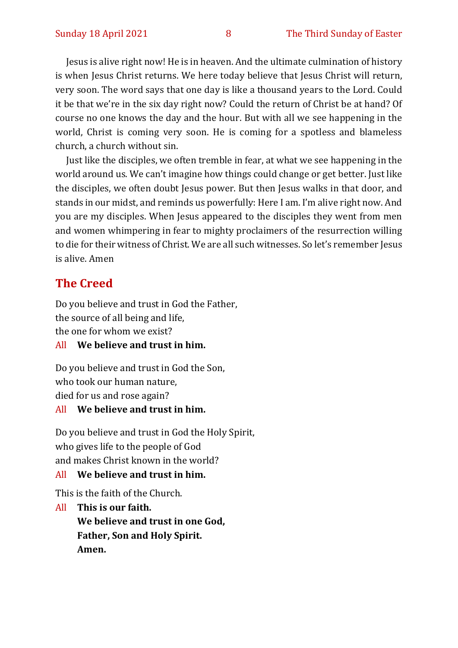Jesus is alive right now! He is in heaven. And the ultimate culmination of history is when Jesus Christ returns. We here today believe that Jesus Christ will return, very soon. The word says that one day is like a thousand years to the Lord. Could it be that we're in the six day right now? Could the return of Christ be at hand? Of course no one knows the day and the hour. But with all we see happening in the world, Christ is coming very soon. He is coming for a spotless and blameless church, a church without sin.

Just like the disciples, we often tremble in fear, at what we see happening in the world around us. We can't imagine how things could change or get better. Just like the disciples, we often doubt Jesus power. But then Jesus walks in that door, and stands in our midst, and reminds us powerfully: Here I am. I'm alive right now. And you are my disciples. When Jesus appeared to the disciples they went from men and women whimpering in fear to mighty proclaimers of the resurrection willing to die for their witness of Christ. We are all such witnesses. So let's remember Jesus is alive. Amen

#### **The Creed**

Do you believe and trust in God the Father, the source of all being and life, the one for whom we exist?

#### All **We believe and trust in him.**

Do you believe and trust in God the Son, who took our human nature, died for us and rose again?

#### All **We believe and trust in him.**

Do you believe and trust in God the Holy Spirit, who gives life to the people of God and makes Christ known in the world?

#### All **We believe and trust in him.**

This is the faith of the Church.

All **This is our faith. We believe and trust in one God, Father, Son and Holy Spirit. Amen.**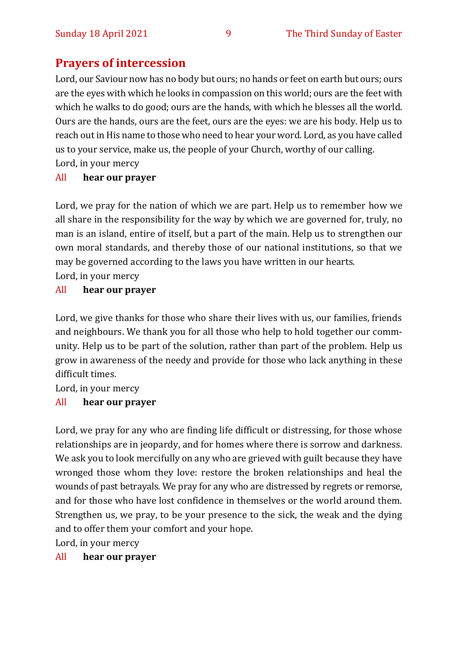#### **Prayers of intercession**

Lord, our Saviour now has no body but ours; no hands or feet on earth but ours; ours are the eyes with which he looks in compassion on this world; ours are the feet with which he walks to do good; ours are the hands, with which he blesses all the world. Ours are the hands, ours are the feet, ours are the eyes: we are his body. Help us to reach out in His name to those who need to hear your word. Lord, as you have called us to your service, make us, the people of your Church, worthy of our calling. Lord, in your mercy

#### All **hear our prayer**

Lord, we pray for the nation of which we are part. Help us to remember how we all share in the responsibility for the way by which we are governed for, truly, no man is an island, entire of itself, but a part of the main. Help us to strengthen our own moral standards, and thereby those of our national institutions, so that we may be governed according to the laws you have written in our hearts.

Lord, in your mercy

#### All **hear our prayer**

Lord, we give thanks for those who share their lives with us, our families, friends and neighbours. We thank you for all those who help to hold together our community. Help us to be part of the solution, rather than part of the problem. Help us grow in awareness of the needy and provide for those who lack anything in these difficult times.

Lord, in your mercy

#### All **hear our prayer**

Lord, we pray for any who are finding life difficult or distressing, for those whose relationships are in jeopardy, and for homes where there is sorrow and darkness. We ask you to look mercifully on any who are grieved with guilt because they have wronged those whom they love: restore the broken relationships and heal the wounds of past betrayals. We pray for any who are distressed by regrets or remorse, and for those who have lost confidence in themselves or the world around them. Strengthen us, we pray, to be your presence to the sick, the weak and the dying and to offer them your comfort and your hope.

Lord, in your mercy

All **hear our prayer**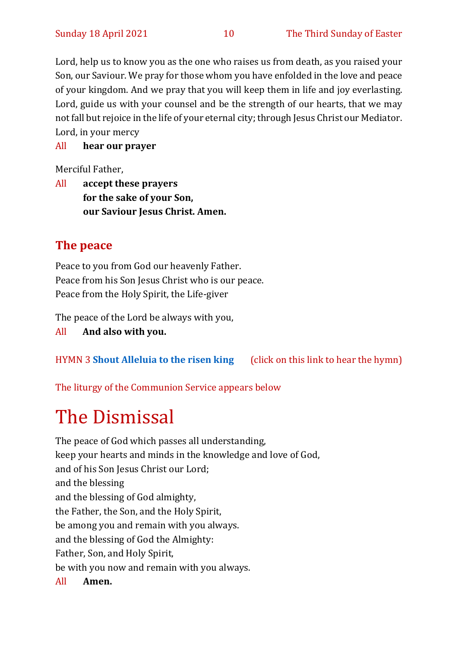Lord, help us to know you as the one who raises us from death, as you raised your Son, our Saviour. We pray for those whom you have enfolded in the love and peace of your kingdom. And we pray that you will keep them in life and joy everlasting. Lord, guide us with your counsel and be the strength of our hearts, that we may not fall but rejoice in the life of your eternal city; through Jesus Christ our Mediator. Lord, in your mercy

#### All **hear our prayer**

Merciful Father,

All **accept these prayers for the sake of your Son, our Saviour Jesus Christ. Amen.**

#### **The peace**

Peace to you from God our heavenly Father. Peace from his Son Jesus Christ who is our peace. Peace from the Holy Spirit, the Life-giver

The peace of the Lord be always with you,

All **And also with you.**

HYMN 3 **[Shout Alleluia to the risen king](https://www.youtube.com/watch?v=ZkL0_EMCW4Q)** (click on this link to hear the hymn)

The liturgy of the Communion Service appears below

# The Dismissal

The peace of God which passes all understanding, keep your hearts and minds in the knowledge and love of God, and of his Son Jesus Christ our Lord; and the blessing and the blessing of God almighty, the Father, the Son, and the Holy Spirit, be among you and remain with you always. and the blessing of God the Almighty: Father, Son, and Holy Spirit, be with you now and remain with you always.

All **Amen.**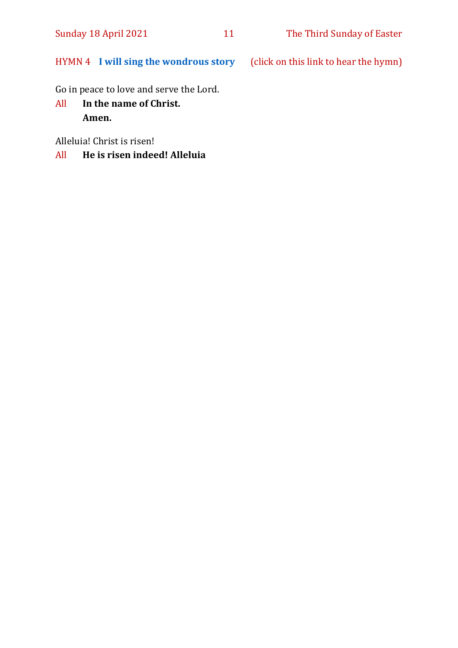#### HYMN 4 **[I will sing the wondrous story](https://www.youtube.com/watch?v=mv8wo-t6C1I)** (click on this link to hear the hymn)

Go in peace to love and serve the Lord.

All **In the name of Christ. Amen.**

Alleluia! Christ is risen!

#### All **He is risen indeed! Alleluia**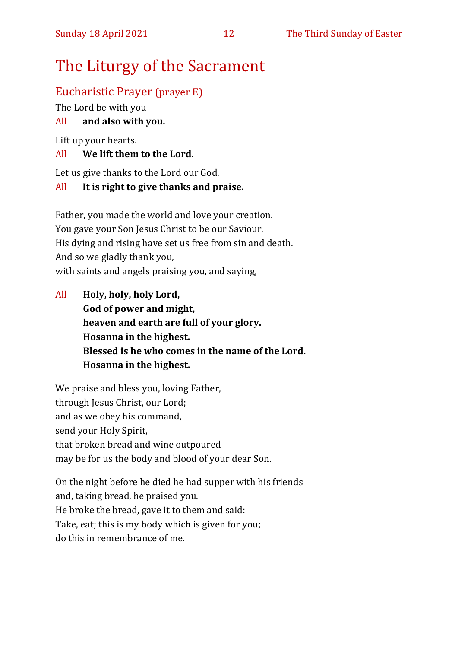## The Liturgy of the Sacrament

#### Eucharistic Prayer (prayer E)

The Lord be with you

#### All **and also with you.**

Lift up your hearts.

#### All **We lift them to the Lord.**

Let us give thanks to the Lord our God.

#### All **It is right to give thanks and praise.**

Father, you made the world and love your creation. You gave your Son Jesus Christ to be our Saviour. His dying and rising have set us free from sin and death. And so we gladly thank you, with saints and angels praising you, and saying,

All **Holy, holy, holy Lord, God of power and might, heaven and earth are full of your glory. Hosanna in the highest. Blessed is he who comes in the name of the Lord. Hosanna in the highest.**

We praise and bless you, loving Father, through Jesus Christ, our Lord; and as we obey his command, send your Holy Spirit, that broken bread and wine outpoured may be for us the body and blood of your dear Son.

On the night before he died he had supper with his friends and, taking bread, he praised you. He broke the bread, gave it to them and said: Take, eat; this is my body which is given for you; do this in remembrance of me.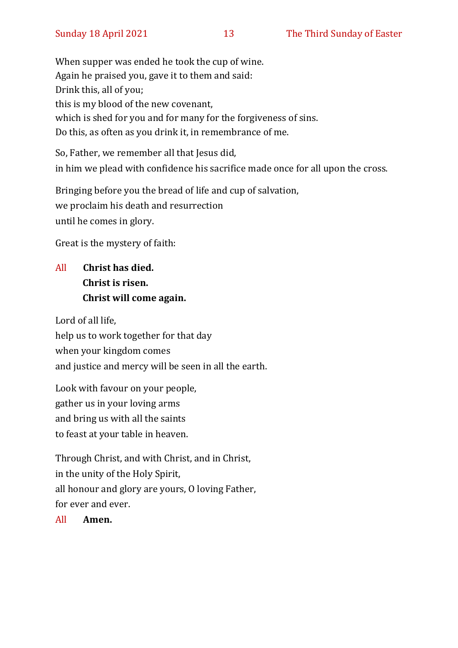When supper was ended he took the cup of wine. Again he praised you, gave it to them and said: Drink this, all of you; this is my blood of the new covenant, which is shed for you and for many for the forgiveness of sins. Do this, as often as you drink it, in remembrance of me.

So, Father, we remember all that Jesus did, in him we plead with confidence his sacrifice made once for all upon the cross.

Bringing before you the bread of life and cup of salvation, we proclaim his death and resurrection until he comes in glory.

Great is the mystery of faith:

### All **Christ has died. Christ is risen. Christ will come again.**

Lord of all life, help us to work together for that day when your kingdom comes and justice and mercy will be seen in all the earth.

Look with favour on your people, gather us in your loving arms and bring us with all the saints to feast at your table in heaven.

Through Christ, and with Christ, and in Christ, in the unity of the Holy Spirit, all honour and glory are yours, O loving Father, for ever and ever.

All **Amen.**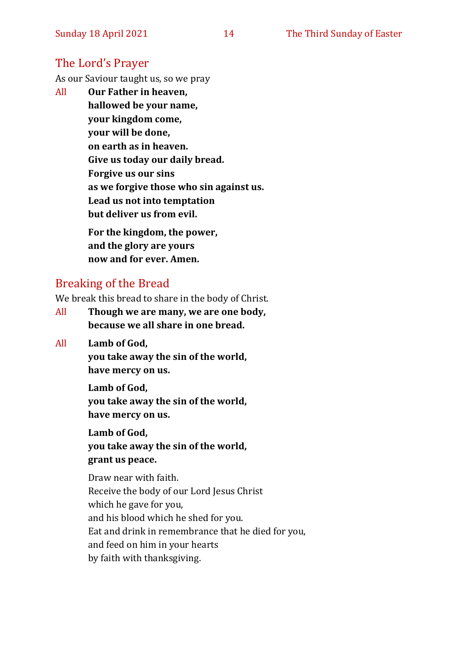#### The Lord's Prayer

As our Saviour taught us, so we pray

All **Our Father in heaven, hallowed be your name, your kingdom come, your will be done, on earth as in heaven. Give us today our daily bread. Forgive us our sins as we forgive those who sin against us. Lead us not into temptation but deliver us from evil. For the kingdom, the power,** 

**and the glory are yours now and for ever. Amen.**

#### Breaking of the Bread

We break this bread to share in the body of Christ.

- All **Though we are many, we are one body, because we all share in one bread.**
- All **Lamb of God,**

**you take away the sin of the world, have mercy on us.**

**Lamb of God, you take away the sin of the world, have mercy on us.**

**Lamb of God, you take away the sin of the world, grant us peace.**

Draw near with faith. Receive the body of our Lord Jesus Christ which he gave for you, and his blood which he shed for you. Eat and drink in remembrance that he died for you, and feed on him in your hearts by faith with thanksgiving.